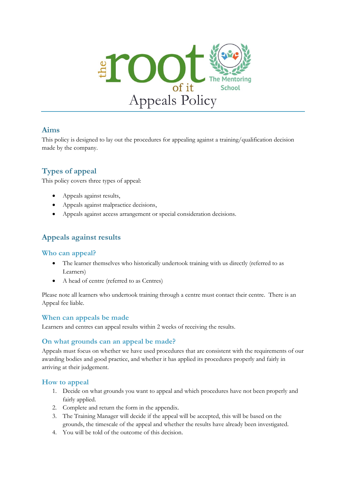

# **Aims**

This policy is designed to lay out the procedures for appealing against a training/qualification decision made by the company.

# **Types of appeal**

This policy covers three types of appeal:

- Appeals against results,
- Appeals against malpractice decisions,
- Appeals against access arrangement or special consideration decisions.

# **Appeals against results**

#### **Who can appeal?**

- The learner themselves who historically undertook training with us directly (referred to as Learners)
- A head of centre (referred to as Centres)

Please note all learners who undertook training through a centre must contact their centre. There is an Appeal fee liable.

#### **When can appeals be made**

Learners and centres can appeal results within 2 weeks of receiving the results.

#### **On what grounds can an appeal be made?**

Appeals must focus on whether we have used procedures that are consistent with the requirements of our awarding bodies and good practice, and whether it has applied its procedures properly and fairly in arriving at their judgement.

## **How to appeal**

- 1. Decide on what grounds you want to appeal and which procedures have not been properly and fairly applied.
- 2. Complete and return the form in the appendix.
- 3. The Training Manager will decide if the appeal will be accepted, this will be based on the grounds, the timescale of the appeal and whether the results have already been investigated.
- 4. You will be told of the outcome of this decision.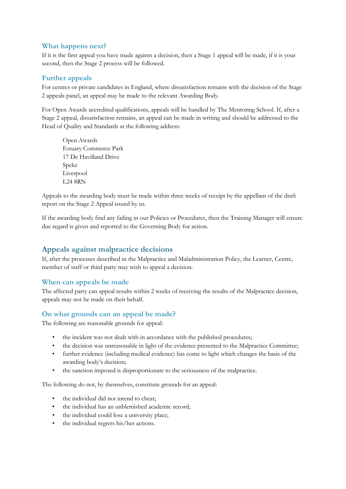#### **What happens next?**

If it is the first appeal you have made against a decision, then a Stage 1 appeal will be made, if it is your second, then the Stage 2 process will be followed.

#### **Further appeals**

For centres or private candidates in England, where dissatisfaction remains with the decision of the Stage 2 appeals panel, an appeal may be made to the relevant Awarding Body.

For Open Awards accredited qualifications, appeals will be handled by The Mentoring School. If, after a Stage 2 appeal, dissatisfaction remains, an appeal can be made in writing and should be addressed to the Head of Quality and Standards at the following address:

Open Awards Estuary Commerce Park 17 De Havilland Drive Speke Liverpool L24 8RN

Appeals to the awarding body must be made within three weeks of receipt by the appellant of the draft report on the Stage 2 Appeal issued by us.

If the awarding body find any failing in our Policies or Procedures, then the Training Manager will ensure due regard is given and reported to the Governing Body for action.

# **Appeals against malpractice decisions**

If, after the processes described in the Malpractice and Maladministration Policy, the Learner, Centre, member of staff or third party may wish to appeal a decision.

#### **When can appeals be made**

The affected party can appeal results within 2 weeks of receiving the results of the Malpractice decision, appeals may not be made on their behalf.

#### **On what grounds can an appeal be made?**

The following are reasonable grounds for appeal:

- the incident was not dealt with in accordance with the published procedures;
- the decision was unreasonable in light of the evidence presented to the Malpractice Committee;
- further evidence (including medical evidence) has come to light which changes the basis of the awarding body's decision;
- the sanction imposed is disproportionate to the seriousness of the malpractice.

The following do not, by themselves, constitute grounds for an appeal:

- the individual did not intend to cheat;
- the individual has an unblemished academic record;
- the individual could lose a university place;
- the individual regrets his/her actions.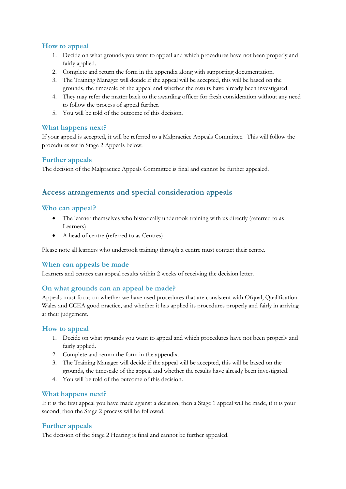## **How to appeal**

- 1. Decide on what grounds you want to appeal and which procedures have not been properly and fairly applied.
- 2. Complete and return the form in the appendix along with supporting documentation.
- 3. The Training Manager will decide if the appeal will be accepted, this will be based on the grounds, the timescale of the appeal and whether the results have already been investigated.
- 4. They may refer the matter back to the awarding officer for fresh consideration without any need to follow the process of appeal further.
- 5. You will be told of the outcome of this decision.

## **What happens next?**

If your appeal is accepted, it will be referred to a Malpractice Appeals Committee. This will follow the procedures set in Stage 2 Appeals below.

# **Further appeals**

The decision of the Malpractice Appeals Committee is final and cannot be further appealed.

# **Access arrangements and special consideration appeals**

## **Who can appeal?**

- The learner themselves who historically undertook training with us directly (referred to as Learners)
- A head of centre (referred to as Centres)

Please note all learners who undertook training through a centre must contact their centre.

## **When can appeals be made**

Learners and centres can appeal results within 2 weeks of receiving the decision letter.

## **On what grounds can an appeal be made?**

Appeals must focus on whether we have used procedures that are consistent with Ofqual, Qualification Wales and CCEA good practice, and whether it has applied its procedures properly and fairly in arriving at their judgement.

## **How to appeal**

- 1. Decide on what grounds you want to appeal and which procedures have not been properly and fairly applied.
- 2. Complete and return the form in the appendix.
- 3. The Training Manager will decide if the appeal will be accepted, this will be based on the grounds, the timescale of the appeal and whether the results have already been investigated.
- 4. You will be told of the outcome of this decision.

## **What happens next?**

If it is the first appeal you have made against a decision, then a Stage 1 appeal will be made, if it is your second, then the Stage 2 process will be followed.

## **Further appeals**

The decision of the Stage 2 Hearing is final and cannot be further appealed.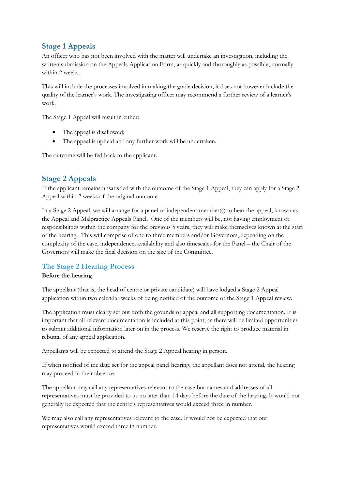# **Stage 1 Appeals**

An officer who has not been involved with the matter will undertake an investigation, including the written submission on the Appeals Application Form, as quickly and thoroughly as possible, normally within 2 weeks.

This will include the processes involved in making the grade decision, it does not however include the quality of the learner's work. The investigating officer may recommend a further review of a learner's work.

The Stage 1 Appeal will result in either:

- The appeal is disallowed;
- The appeal is upheld and any further work will be undertaken.

The outcome will be fed back to the applicant.

# **Stage 2 Appeals**

If the applicant remains unsatisfied with the outcome of the Stage 1 Appeal, they can apply for a Stage 2 Appeal within 2 weeks of the original outcome.

In a Stage 2 Appeal, we will arrange for a panel of independent member(s) to hear the appeal, known as the Appeal and Malpractice Appeals Panel. One of the members will be, not having employment or responsibilities within the company for the previous 5 years, they will make themselves known at the start of the hearing. This will comprise of one to three members and/or Governors, depending on the complexity of the case, independence, availability and also timescales for the Panel – the Chair of the Governors will make the final decision on the size of the Committee.

## **The Stage 2 Hearing Process**

#### **Before the hearing**

The appellant (that is, the head of centre or private candidate) will have lodged a Stage 2 Appeal application within two calendar weeks of being notified of the outcome of the Stage 1 Appeal review.

The application must clearly set out both the grounds of appeal and all supporting documentation. It is important that all relevant documentation is included at this point, as there will be limited opportunities to submit additional information later on in the process. We reserve the right to produce material in rebuttal of any appeal application.

Appellants will be expected to attend the Stage 2 Appeal hearing in person.

If when notified of the date set for the appeal panel hearing, the appellant does not attend, the hearing may proceed in their absence.

The appellant may call any representatives relevant to the case but names and addresses of all representatives must be provided to us no later than 14 days before the date of the hearing. It would not generally be expected that the centre's representatives would exceed three in number.

We may also call any representatives relevant to the case. It would not be expected that our representatives would exceed three in number.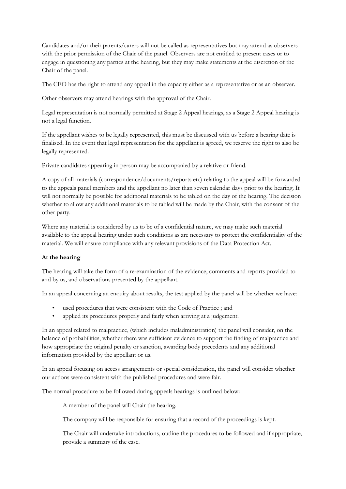Candidates and/or their parents/carers will not be called as representatives but may attend as observers with the prior permission of the Chair of the panel. Observers are not entitled to present cases or to engage in questioning any parties at the hearing, but they may make statements at the discretion of the Chair of the panel.

The CEO has the right to attend any appeal in the capacity either as a representative or as an observer.

Other observers may attend hearings with the approval of the Chair.

Legal representation is not normally permitted at Stage 2 Appeal hearings, as a Stage 2 Appeal hearing is not a legal function.

If the appellant wishes to be legally represented, this must be discussed with us before a hearing date is finalised. In the event that legal representation for the appellant is agreed, we reserve the right to also be legally represented.

Private candidates appearing in person may be accompanied by a relative or friend.

A copy of all materials (correspondence/documents/reports etc) relating to the appeal will be forwarded to the appeals panel members and the appellant no later than seven calendar days prior to the hearing. It will not normally be possible for additional materials to be tabled on the day of the hearing. The decision whether to allow any additional materials to be tabled will be made by the Chair, with the consent of the other party.

Where any material is considered by us to be of a confidential nature, we may make such material available to the appeal hearing under such conditions as are necessary to protect the confidentiality of the material. We will ensure compliance with any relevant provisions of the Data Protection Act.

#### **At the hearing**

The hearing will take the form of a re-examination of the evidence, comments and reports provided to and by us, and observations presented by the appellant.

In an appeal concerning an enquiry about results, the test applied by the panel will be whether we have:

- used procedures that were consistent with the Code of Practice ; and
- applied its procedures properly and fairly when arriving at a judgement.

In an appeal related to malpractice, (which includes maladministration) the panel will consider, on the balance of probabilities, whether there was sufficient evidence to support the finding of malpractice and how appropriate the original penalty or sanction, awarding body precedents and any additional information provided by the appellant or us.

In an appeal focusing on access arrangements or special consideration, the panel will consider whether our actions were consistent with the published procedures and were fair.

The normal procedure to be followed during appeals hearings is outlined below:

A member of the panel will Chair the hearing.

The company will be responsible for ensuring that a record of the proceedings is kept.

The Chair will undertake introductions, outline the procedures to be followed and if appropriate, provide a summary of the case.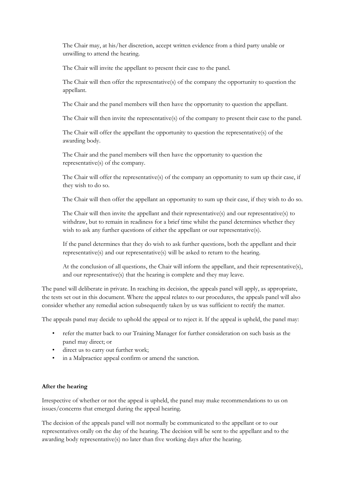The Chair may, at his/her discretion, accept written evidence from a third party unable or unwilling to attend the hearing.

The Chair will invite the appellant to present their case to the panel.

The Chair will then offer the representative(s) of the company the opportunity to question the appellant.

The Chair and the panel members will then have the opportunity to question the appellant.

The Chair will then invite the representative(s) of the company to present their case to the panel.

The Chair will offer the appellant the opportunity to question the representative(s) of the awarding body.

The Chair and the panel members will then have the opportunity to question the representative(s) of the company.

The Chair will offer the representative(s) of the company an opportunity to sum up their case, if they wish to do so.

The Chair will then offer the appellant an opportunity to sum up their case, if they wish to do so.

The Chair will then invite the appellant and their representative(s) and our representative(s) to withdraw, but to remain in readiness for a brief time whilst the panel determines whether they wish to ask any further questions of either the appellant or our representative(s).

If the panel determines that they do wish to ask further questions, both the appellant and their representative(s) and our representative(s) will be asked to return to the hearing.

At the conclusion of all questions, the Chair will inform the appellant, and their representative(s), and our representative(s) that the hearing is complete and they may leave.

The panel will deliberate in private. In reaching its decision, the appeals panel will apply, as appropriate, the tests set out in this document. Where the appeal relates to our procedures, the appeals panel will also consider whether any remedial action subsequently taken by us was sufficient to rectify the matter.

The appeals panel may decide to uphold the appeal or to reject it. If the appeal is upheld, the panel may:

- refer the matter back to our Training Manager for further consideration on such basis as the panel may direct; or
- direct us to carry out further work;
- in a Malpractice appeal confirm or amend the sanction.

#### **After the hearing**

Irrespective of whether or not the appeal is upheld, the panel may make recommendations to us on issues/concerns that emerged during the appeal hearing.

The decision of the appeals panel will not normally be communicated to the appellant or to our representatives orally on the day of the hearing. The decision will be sent to the appellant and to the awarding body representative(s) no later than five working days after the hearing.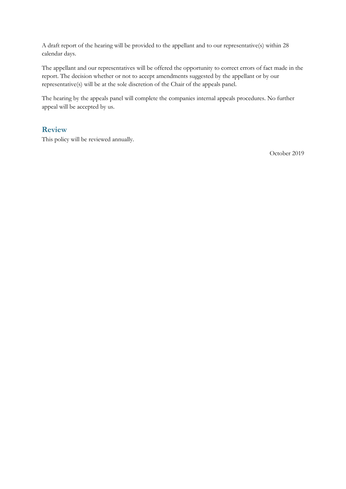A draft report of the hearing will be provided to the appellant and to our representative(s) within 28 calendar days.

The appellant and our representatives will be offered the opportunity to correct errors of fact made in the report. The decision whether or not to accept amendments suggested by the appellant or by our representative(s) will be at the sole discretion of the Chair of the appeals panel.

The hearing by the appeals panel will complete the companies internal appeals procedures. No further appeal will be accepted by us.

#### **Review**

This policy will be reviewed annually.

October 2019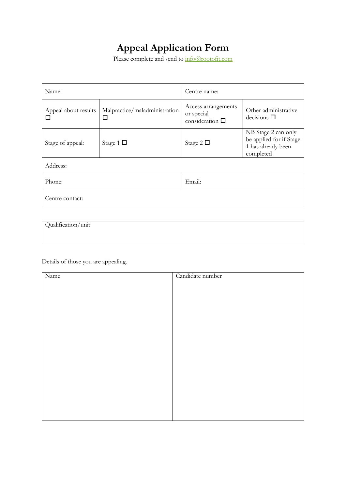# **Appeal Application Form**

Please complete and send to  $\frac{1}{\ln 6}$  (*Qrootofit.com* 

| Name:                     |                                    | Centre name:                                                 |                                                                                   |  |
|---------------------------|------------------------------------|--------------------------------------------------------------|-----------------------------------------------------------------------------------|--|
| Appeal about results<br>П | Malpractice/maladministration<br>□ | Access arrangements<br>or special<br>consideration $\square$ | Other administrative<br>decisions $\square$                                       |  |
| Stage of appeal:          | Stage 1 $\Box$                     | Stage 2 $\square$                                            | NB Stage 2 can only<br>be applied for if Stage<br>1 has already been<br>completed |  |
| Address:                  |                                    |                                                              |                                                                                   |  |
| Phone:                    |                                    | Email:                                                       |                                                                                   |  |
| Centre contact:           |                                    |                                                              |                                                                                   |  |

Qualification/unit:

Details of those you are appealing.

| Name | Candidate number |
|------|------------------|
|      |                  |
|      |                  |
|      |                  |
|      |                  |
|      |                  |
|      |                  |
|      |                  |
|      |                  |
|      |                  |
|      |                  |
|      |                  |
|      |                  |
|      |                  |
|      |                  |
|      |                  |